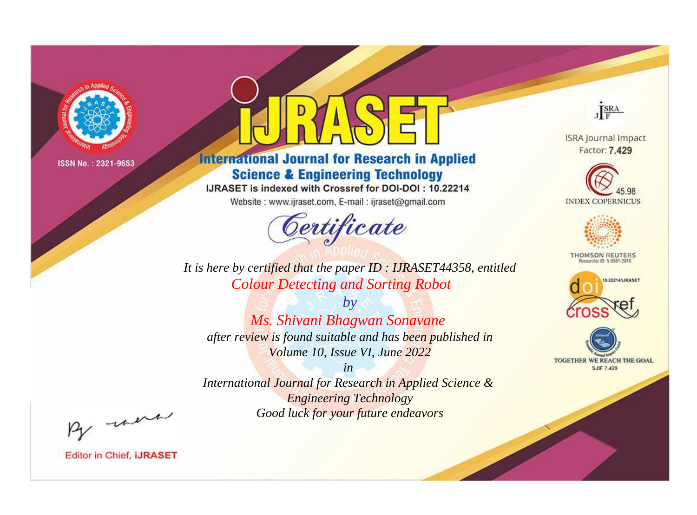

# **International Journal for Research in Applied Science & Engineering Technology**

IJRASET is indexed with Crossref for DOI-DOI: 10.22214

Website: www.ijraset.com, E-mail: ijraset@gmail.com



JERA

**ISRA Journal Impact** Factor: 7.429





**THOMSON REUTERS** 



TOGETHER WE REACH THE GOAL **SJIF 7.429** 

It is here by certified that the paper ID: IJRASET44358, entitled **Colour Detecting and Sorting Robot** 

 $by$ Ms. Shivani Bhagwan Sonavane after review is found suitable and has been published in Volume 10, Issue VI, June 2022

 $in$ International Journal for Research in Applied Science & **Engineering Technology** Good luck for your future endeavors

By morn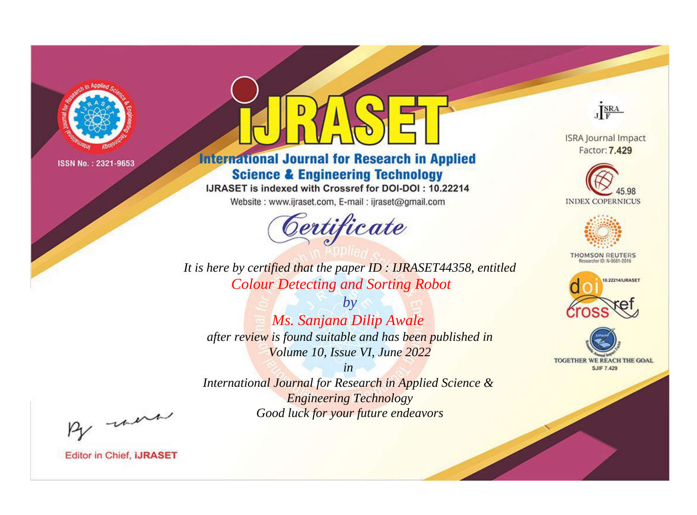

# **International Journal for Research in Applied Science & Engineering Technology**

IJRASET is indexed with Crossref for DOI-DOI: 10.22214

Website: www.ijraset.com, E-mail: ijraset@gmail.com



JERA

**ISRA Journal Impact** Factor: 7.429





**THOMSON REUTERS** 



TOGETHER WE REACH THE GOAL **SJIF 7.429** 

*It is here by certified that the paper ID : IJRASET44358, entitled Colour Detecting and Sorting Robot*

*by Ms. Sanjana Dilip Awale after review is found suitable and has been published in Volume 10, Issue VI, June 2022*

*in* 

*International Journal for Research in Applied Science & Engineering Technology Good luck for your future endeavors*

By morn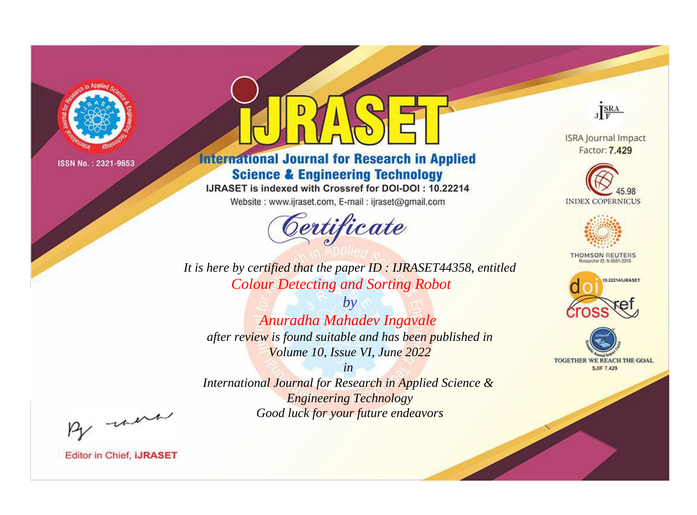

# **International Journal for Research in Applied Science & Engineering Technology**

IJRASET is indexed with Crossref for DOI-DOI: 10.22214

Website: www.ijraset.com, E-mail: ijraset@gmail.com



JERA

**ISRA Journal Impact** Factor: 7.429





**THOMSON REUTERS** 



TOGETHER WE REACH THE GOAL **SJIF 7.429** 

It is here by certified that the paper ID: IJRASET44358, entitled **Colour Detecting and Sorting Robot** 

 $b\nu$ Anuradha Mahadev Ingavale after review is found suitable and has been published in Volume 10, Issue VI, June 2022

 $in$ International Journal for Research in Applied Science & **Engineering Technology** Good luck for your future endeavors

By morn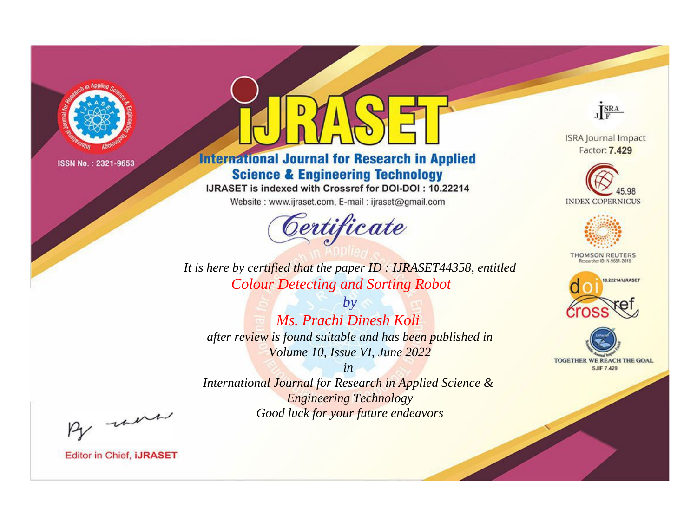

# **International Journal for Research in Applied Science & Engineering Technology**

IJRASET is indexed with Crossref for DOI-DOI: 10.22214

Website: www.ijraset.com, E-mail: ijraset@gmail.com



JERA

**ISRA Journal Impact** Factor: 7.429





**THOMSON REUTERS** 



TOGETHER WE REACH THE GOAL **SJIF 7.429** 

*It is here by certified that the paper ID : IJRASET44358, entitled Colour Detecting and Sorting Robot*

*by Ms. Prachi Dinesh Koli after review is found suitable and has been published in Volume 10, Issue VI, June 2022*

*in* 

*International Journal for Research in Applied Science & Engineering Technology Good luck for your future endeavors*

By morn